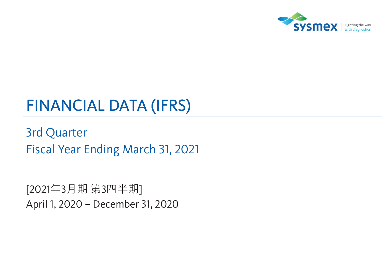

# **FINANCIAL DATA (IFRS)**

**3rd Quarter** Fiscal Year Ending March 31, 2021

[2021年3月期 第3四半期] April 1, 2020 - December 31, 2020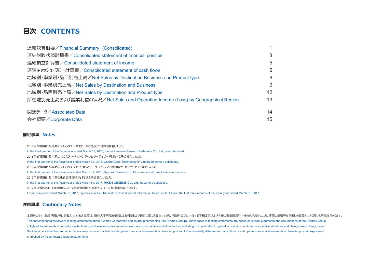### **日次 CONTENTS**

| 連結決算概要/Financial Summary (Consolidated)                                        |    |
|--------------------------------------------------------------------------------|----|
| 連結財政状態計算書/Consolidated statement of financial position                         |    |
| 連結損益計算書/Consolidated statement of income                                       | 5  |
| 連結キャッシュ・フロー計算書/Consolidated statement of cash flows                            | 6  |
| 地域別・事業別・品目別売上高/Net Sales by Destination, Business and Product type             | 8  |
| 地域別・事業別売上高/Net Sales by Destination and Business                               | 9  |
| 地域別・品目別売上高/Net Sales by Destination and Product type                           | 12 |
| 所在地別売上高および営業利益の状況/Net Sales and Operating Income (Loss) by Geographical Region | 13 |
| 関連データ/Associated Data                                                          | 14 |
| 会社概要/Corporate Data                                                            | 15 |

#### **補足事項 Notes**

2018年3月期第3四半期にシスメックス・ビオメリュー株式会社の合弁を解消しました。 In the third quarter of the fiscal year ended March 31, 2018, the joint venture Sysmex bioMérieux Co., Ltd., was dissolved. 2018年3月期第1四半期にオックスフォード ジーン テクノロジー アイピー リミテッドを子会社化しました。 In the first quarter of the fiscal year ended March 31, 2018, Oxford Gene Technology IP Limited became a subsidiary. 2018年3月期第1四半期にシスメックス タイワン カンパニー リミテッドによる直接販売・直接サービスを開始しました。 In the first quarter of the fiscal year ended March 31, 2018, Sysmex Taiwan Co., Ltd., commenced direct sales and service. 2017年3月期第1四半期に株式会社理研ジェネシスを子会社化しました。 In the first quarter of the fiscal year ended March 31, 2017, RIKEN GENESIS Co., Ltd., became a subsidiary. 2017年3月期よりIFRSを適用し、2017年3月期第1四半期からIFRSに基づき開示しています。 From fiscal year ended March 31, 2017, Sysmex adopts IFRS and disclose financial information based on IFRS from the first three months of the fiscal year ended March 31, 2017.

#### **注意事項 Cautionary Notes**

本資料のうち、業績見通し等に記載されている各数値は、現在入手可能な情報による判断および仮定に基づき算出しており、判断や仮定に内在する不確定性および今後の事業運営や内外の状況変化により、実際の業績等が見通しの数値と大きく異なる可能性があります。 This material contains forward-looking statements about Sysmex Corporation and its group companies (the Sysmex Group). These forward-looking statements are based on current judgments and assumptions of the Sysmex Group in light of the information currently available to it, and involve known and unknown risks, uncertainties and other factors, including but not limited to: global economic conditions, competitive situations and changes in e Such risks, uncertainties and other factors may cause our actual results, performance, achievements or financial position to be materially different from any future results, performance, achievements or financial position or implied by these forward-looking statements.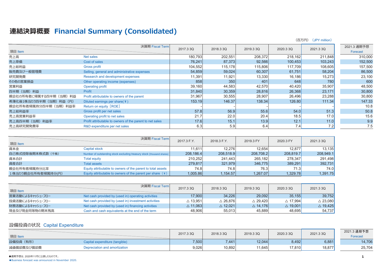### 連結決算概要 Financial Summary (Consolidated)

|                       |                                                          |           |           |           |                  | (百万円)<br>(JPY million) |                         |
|-----------------------|----------------------------------------------------------|-----------|-----------|-----------|------------------|------------------------|-------------------------|
| 項目 Item               | 決算期 Fiscal Term                                          | 2017.3 3Q | 2018.3 3Q | 2019.3 3Q | 2020.3 3Q        | 2021.3 3Q              | 2021.3 通期予想<br>Forecast |
| 売上高                   | Net sales                                                | 180,793   | 202,551   | 208,372   | 218,162          | 211,848                | 310,000                 |
| 売上原価                  | Cost of sales                                            | 76,241    | 87,373    | 92,566    | 100,453          | 103,243                | 152,500                 |
| 売上総利益                 | <b>Gross profit</b>                                      | 104,552   | 115,178   | 115,806   | 117,709          | 108,605                | 157,500                 |
| 販売費及び一般管理費            | Selling, general and administrative expenses             | 54,859    | 59,024    | 60,307    | 61,751           | 58,204                 | 86,500                  |
| 研究開発費                 | Research and development expenses                        | 11,391    | 11,921    | 13,330    | 16,186           | 15,273                 | 23,100                  |
| その他の営業損益              | Other operating income (expenses)                        | 858       | 350       | 401       | 648              | 780                    | 600                     |
| 営業利益                  | <b>Operating profit</b>                                  | 39,160    | 44,583    | 42,570    | 40,420           | 35,907                 | 48,500                  |
| 四半期 (当期) 利益           | Profit                                                   | 31,840    | 30,359    | 28,816    | 26,368           | 23,171                 | 30,800                  |
| 親会社の所有者に帰属する四半期(当期)利益 | Profit attributable to owners of the parent              | 31,967    | 30,555    | 28,907    | 26,496           | 23,288                 | 30,800                  |
| 希薄化後1株当たり四半期(当期)利益(円) | Diluted earnings per share( $\frac{4}{7}$ )              | 153.19    | 146.37    | 138.34    | 126.80           | 111.34                 | 147.33                  |
| 親会社所有者帰属持分四半期(当期)利益率  | Return on equity [ROE]                                   |           |           |           |                  |                        | 10.8                    |
| 売上総利益率                | Gross profit per net sales                               | 57.8      | 56.9      | 55.6      | 54.0             | 51.3                   | 50.8                    |
| 売上高営業利益率              | Operating profit to net sales                            | 21.7      | 22.0      | 20.4      | 18.5             | 17.0                   | 15.6                    |
| 売上高四半期(当期)利益率         | Profit attributable to owners of the parent to net sales | 17.6      | 15.1      | 13.9      | 12.1             | 11.0                   | 9.9                     |
| 売上高研究開発費率             | R&D expenditure per net sales                            | 6.3       | 5.9       | 6.4       | 7.4 <sub>l</sub> | 7.2                    | 7.5                     |

|                    | 決算期 Fiscal Term                                                        |             |             |           |           |           |
|--------------------|------------------------------------------------------------------------|-------------|-------------|-----------|-----------|-----------|
| 項目 Item            |                                                                        | 2017.3 F.Y. | 2018.3 F.Y. | 2019.3 FY | 2020.3 FY | 2021.3 3Q |
| 資本金                | <b>Capital stock</b>                                                   | 11.611      | 12.276      | 12.654    | 12.877    | 13.135    |
| 自己株式控除後期末株式数(千株)   | Number of outstanding stock excluding treasury stock (thousand shares) | 208.186.4   | 208.518.9   | 208,708.2 | 208.819.7 | 208,949.1 |
| 資本合計               | <b>Total equity</b>                                                    | 210,252     | 241.443     | 265.182   | 278,347   | 291,498   |
| 資産合計               | <b>Total assets</b>                                                    | 279,817     | 321,979     | 346,775   | 389,291   | 392,731   |
| 親会社所有者帰属持分比率       | Equity attributable to owners of the parent to total assets            | 74.8        | 74.8I       | 76.3      | 71.3      | 74.0      |
| 1株当たり親会社所有者帰属持分(円) | Equity attributable to owners of the parent per share $(4)$            | 1,005.86    | 1,154.57    | 1,267.07  | 1,329.78  | 1.391.75  |

| 項目 Item          | 決算期 Fiscal Term                                      | 2017.3 3Q          | 2018.3 3Q             | 2019.3 3Q          | 2020.3 3Q          | 2021.3 3Q          |
|------------------|------------------------------------------------------|--------------------|-----------------------|--------------------|--------------------|--------------------|
| 営業活動によるキャッシュ・フロー | Net cash provided by (used in) operating activities  | 17,900             | 34,226                | 29,092             | 35,155             | 39,752             |
| 投資活動によるキャッシュ・フロー | Net cash provided by (used in) investment activities | $\triangle$ 13,951 | $\vartriangle$ 26.876 | $\triangle$ 29.420 | $\triangle$ 17,994 | $\triangle$ 23,080 |
| 財務活動によるキャッシュ・フロー | Net cash provided by (used in) financing activities  | $\triangle$ 11,063 | $\triangle$ 12,021    | $\triangle$ 14.176 | $\triangle$ 19,001 | $\triangle$ 19,425 |
| 現金及び現金同等物の期末残高   | Cash and cash equivalents at the end of the term     | 48,906             | 55.013                | 45.889             | 48,695             | 54,737             |

#### 設備投資の状況 Capital Expenditure

| 項目 Item    |                                | 2017.3 3Q | 2018.3 3Q | 2019.3 3Q | 2020.3 3Q | 2021.3 3Q | 2021.3 通期予想<br>Forecast |
|------------|--------------------------------|-----------|-----------|-----------|-----------|-----------|-------------------------|
| 設備投資(有形)   | Capital expenditure (tangible) | 7,500     | 7,441     | 12,044    | 8,492     | 6,881     | 14,706                  |
| 減価償却費及び償却費 | Depreciation and amortization  | 9,026     | 10,892    | 11,645    | 17,810    | 18,877    | 25,704                  |

●通期予想は、2020年11月に公表したものです。

**.** Business forecast was announced in November 2020.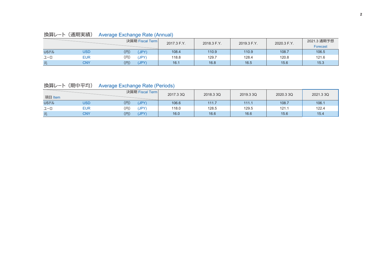### 換算レート (通期実績) Average Exchange Rate (Annual)

|              |            | 決算期 Fiscal Term | 2017.3 F.Y. | 2018.3 F.Y. | 2019.3 F.Y. | 2020.3 F.Y. | 2021.3 通期予想<br>Forecast |
|--------------|------------|-----------------|-------------|-------------|-------------|-------------|-------------------------|
| <b>USFIL</b> | USD        | (円)<br>(JPY)    | 108.4       | 110.9       | 110.9       | 108.7       | 106.5                   |
| ユーロ          | EUR        | (円)<br>(JPY)    | 118.8       | 129.7       | 128.4       | 120.8       | 121.6                   |
| 兀            | <b>CNY</b> | (円)<br>(JPY)    | 16.1        | 16.8        | 16.5        | 15.6        | 15.3                    |

換算レート (期中平均) Average Exchange Rate (Periods)

| 項目 Item      |            | 決算期 Fiscal Term  | 2017.3 3Q | 2018.3 3Q | 2019.3 3Q | 2020.33Q | 2021.3 3Q |
|--------------|------------|------------------|-----------|-----------|-----------|----------|-----------|
| <b>USFIL</b> | USD        | (円)<br>(JPY)     | 106.6     | 111.7     | 111.1     | 108.7    | 106.1     |
| ユーロ          | <b>EUR</b> | (円)<br>(JPY)     | 118.0     | 128.5     | 129.5     | 121.1    | 122.4     |
| 兀            | CNY        | (円)<br>$(JPY^r)$ | 16.0      | 16.6      | 16.6      | 15.6     | 15.4      |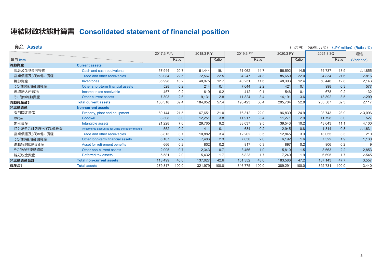## 連結財政状態計算書 Consolidated statement of financial position

| 資産 Assets       |                                                   |             |       |             |       |           |       |           | (百万円) | (構成比:%)   |       | (JPY million) (Ratio: % |
|-----------------|---------------------------------------------------|-------------|-------|-------------|-------|-----------|-------|-----------|-------|-----------|-------|-------------------------|
|                 |                                                   | 2017.3 F.Y. |       | 2018.3 F.Y. |       | 2019.3 FY |       | 2020.3 FY |       | 2021.3 3Q |       | 増減                      |
| 項目 Item         |                                                   |             | Ratio |             | Ratio |           | Ratio |           | Ratio |           | Ratio | (Variance)              |
| 流動資産            | <b>Current assets</b>                             |             |       |             |       |           |       |           |       |           |       |                         |
| 現金及び現金同等物       | Cash and cash equivalents                         | 57,944      | 20.7  | 61,444      | 19.1  | 51,062    | 14.7  | 56,592    | 14.5  | 54,737    | 13.9  | $\triangle$ 1,85        |
| 営業債権及びその他の債権    | Trade and other receivables                       | 63,084      | 22.5  | 72,567      | 22.5  | 84,247    | 24.3  | 85,650    | 22.0  | 84,834    | 21.6  | $\triangle 816$         |
| 棚卸資産            | Inventories                                       | 36,998      | 13.2  | 40,975      | 12.7  | 40,231    | 11.6  | 48,303    | 12.4  | 50,446    | 12.8  | 2,14                    |
| その他の短期金融資産      | Other short-term financial assets                 | 528         | 0.2   | 214         | 0.1   | 7,644     | 2.2   | 421       | 0.1   | 998       | 0.3   | 57                      |
| 未収法人所得税         | Income taxes receivable                           | 457         | 0.2   | 619         | 0.2   | 412       | 0.1   | 546       | 0.1   | 678       | 0.2   | 132                     |
| その他の流動資産        | Other current assets                              | 7,303       | 2.6   | 9,131       | 2.8   | 11,824    | 3.4   | 14,191    | 3.6   | 13,892    | 3.5   | $\triangle$ 29          |
| 流動資産合計          | <b>Total current assets</b>                       | 166,318     | 59.4  | 184,952     | 57.4  | 195,423   | 56.4  | 205,704   | 52.8  | 205,587   | 52.3  | $\triangle$ 11          |
| 非流動資産           | <b>Non-current assets</b>                         |             |       |             |       |           |       |           |       |           |       |                         |
| 有形固定資産          | Property, plant and equipment                     | 60,144      | 21.5  | 67,651      | 21.0  | 76,312    | 22.0  | 96,839    | 24.9  | 93,743    | 23.9  | $\triangle$ 3,096       |
| のれん             | Goodwill                                          | 8,308       | 3.0   | 12,251      | 3.8   | 11,917    | 3.4   | 11,271    | 2.9   | 11,798    | 3.0   | 52                      |
| 無形資産            | Intangible assets                                 | 21,228      | 7.6   | 29,765      | 9.2   | 33,037    | 9.5   | 39,543    | 10.2  | 43,643    | 11.1  | 4,100                   |
| 持分法で会計処理されている投資 | Investments accounted for using the equity method | 552         | 0.2   | 411         | 0.1   | 634       | 0.2   | 2,945     | 0.8   | 1,314     | 0.3   | $\triangle$ 1,63        |
| 営業債権及びその他の債権    | Trade and other receivables                       | 8,813       | 3.1   | 10,882      | 3.4   | 12,202    | 3.5   | 12,845    | 3.3   | 13,055    | 3.3   | 21(                     |
| その他の長期金融資産      | Other long-term financial assets                  | 6,107       | 2.2   | 7,486       | 2.3   | 7,050     | 2.0   | 6,192     | 1.6   | 7,322     | 1.9   | 1,13                    |
| 退職給付に係る資産       | <b>Asset for retirement benefits</b>              | 666         | 0.2   | 802         | 0.2   | 917       | 0.3   | 897       | 0.2   | 906       | 0.2   |                         |
| その他の非流動資産       | Other non-current assets                          | 2,095       | 0.7   | 2,343       | 0.7   | 3,456     | 1.0   | 5,810     | 1.5   | 8,663     | 2.2   | 2,85                    |
| 繰延税金資産          | Deferred tax assets                               | 5,581       | 2.0   | 5,432       | 1.7   | 5,823     | 1.7   | 7,240     | 1.9   | 6,695     | 1.7   | △54                     |
| 非流動資産合計         | <b>Total non-current assets</b>                   | 113,499     | 40.6  | 137,027     | 42.6  | 151,352   | 43.6  | 183,586   | 47.2  | 187,143   | 47.7  | 3,55                    |
| 資産合計            | <b>Total assets</b>                               | 279,817     | 100.0 | 321,979     | 100.0 | 346,775   | 100.0 | 389,291   | 100.0 | 392,731   | 100.0 | 3.44(                   |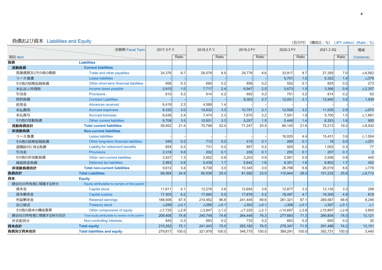|                  |                                                   |                   |                 |                   |                 |                   |                 | \□\JI J <i>I</i>   | $\left( \frac{1}{2} \right)$ (14) $\left( \frac{1}{2} \right)$ (14) $\left( \frac{1}{2} \right)$ (14) $\left( \frac{1}{2} \right)$ (Natio : 70) |                    |                 |                   |
|------------------|---------------------------------------------------|-------------------|-----------------|-------------------|-----------------|-------------------|-----------------|--------------------|-------------------------------------------------------------------------------------------------------------------------------------------------|--------------------|-----------------|-------------------|
|                  | 決算期 Fiscal Term                                   | 2017.3 F.Y.       |                 | 2018.3 F.Y.       |                 | 2019.3 FY         |                 | 2020.3 FY          |                                                                                                                                                 | 2021.3 3Q          |                 | 増減                |
| 項目 Item          |                                                   |                   | Ratio           |                   | Ratio           |                   | Ratio           |                    | Ratio                                                                                                                                           |                    | Ratio           | (Variance)        |
| 負債               | <b>Liabilities</b>                                |                   |                 |                   |                 |                   |                 |                    |                                                                                                                                                 |                    |                 |                   |
| 流動負債             | <b>Current liabilities</b>                        |                   |                 |                   |                 |                   |                 |                    |                                                                                                                                                 |                    |                 |                   |
| 営業債務及びその他の債務     | Trade and other payables                          | 24,376            | 8.7             | 28,579            | 8.9             | 29,778            | 8.6             | 33,917             | 8.7                                                                                                                                             | 27,355             | 7.0             | $\triangle 6,562$ |
| リース負債            | <b>Lease liabilities</b>                          |                   |                 |                   |                 |                   |                 | 5,701              | 1.5                                                                                                                                             | 5,322              | 1.4             | $\triangle$ 379   |
| その他の短期金融負債       | Other short-term financial liabilities            | 956               | 0.3             | 690               | 0.2             | 806               | 0.2             | 552                | 0.1                                                                                                                                             | 825                | 0.2             | 273               |
| 未払法人所得税          | Income taxes payable                              | 2,915             | 1.0             | 7,717             | 2.4             | 6,947             | 2.0             | 5,673              | 1.5                                                                                                                                             | 3,366              | 0.9             | $\triangle$ 2,307 |
| 引当金              | <b>Provisions</b>                                 | 610               | 0.2             | 614               | 0.2             | 693               | 0.2             | 751                | 0.2                                                                                                                                             | 814                | 0.2             | 63                |
| 契約負債             | <b>Contract Liabilities</b>                       |                   |                 |                   |                 | 9,303             | 2.7             | 12,001             | 3.1                                                                                                                                             | 13,940             | 3.5             | 1,939             |
| 前受金              | <b>Advances received</b>                          | 6,418             | 2.3             | 4,588             | 1.4             |                   |                 |                    |                                                                                                                                                 |                    |                 |                   |
| 未払費用             | <b>Accrued expenses</b>                           | 8,330             | 3.0             | 10,632            | 3.3             | 10,791            | 3.1             | 12,508             | 3.2                                                                                                                                             | 11,535             | 2.9             | $\triangle$ 973   |
| 未払賞与             | <b>Accrued bonuses</b>                            | 6,636             | 2.4             | 7,474             | 2.3             | 7,670             | 2.2             | 7,591              | 1.9                                                                                                                                             | 5,700              | 1.5             | $\triangle$ 1,891 |
| その他の流動負債         | Other current liabilities                         | 9,708             | 3.5             | 10,501            | 3.3             | 5,257             | 1.5             | 5.448              | 1.4                                                                                                                                             | 6,353              | 1.6             | 905               |
| 流動負債合計           | <b>Total current liabilities</b>                  | 59,952            | 21.4            | 70,796            | 22.0            | 71,247            | 20.5            | 84,145             | 21.6                                                                                                                                            | 75,213             | 19.2            | $\triangle$ 8,932 |
| 非流動負債            | <b>Non-current liabilities</b>                    |                   |                 |                   |                 |                   |                 |                    |                                                                                                                                                 |                    |                 |                   |
| リース負債            | <b>Lease liabilities</b>                          |                   |                 |                   |                 |                   |                 | 16,935             | 4.4                                                                                                                                             | 15,431             | 3.9             | $\triangle$ 1,504 |
| その他の長期金融負債       | Other long-term financial liabilities             | 549               | 0.2             | 712               | 0.2             | 415               | 0.1             | 269                | 0.1                                                                                                                                             | 18                 | 0.0             | $\triangle$ 251   |
| 退職給付に係る負債        | Liability for retirement benefits                 | 654               | 0.2             | 731               | 0.2             | 857               | 0.2             | 925                | 0.2                                                                                                                                             | 1,002              | 0.3             | 77                |
| 引当金              | <b>Provisions</b>                                 | 2,318             | 0.8             | 202               | 0.1             | 226               | 0.1             | 255                | 0.1                                                                                                                                             | 257                | 0.1             | $\overline{2}$    |
| その他の非流動負債        | Other non-current liabilities                     | 3,527             | 1.3             | 2,652             | 0.8             | 3,203             | 0.9             | 2,061              | 0.5                                                                                                                                             | 2,506              | 0.6             | 445               |
| 繰延税金負債           | Deferred tax liabilities                          | 2,562             | 0.9             | 5,439             | 1.7             | 5,642             | 1.6             | 6,351              | 1.6                                                                                                                                             | 6,803              | 1.7             | 452               |
| 非流動負債合計          | <b>Total non-current liabilities</b>              | 9,612             | 3.4             | 9,739             | 3.0             | 10,345            | 3.0             | 26,798             | 6.9                                                                                                                                             | 26,019             | 6.6             | $\triangle$ 779   |
| 負債合計             | <b>Total Liabilities</b>                          | 69,564            | 24.9            | 80,536            | 25.0            | 81,592            | 23.5            | 110,944            | 28.5                                                                                                                                            | 101,232            | 25.8            | $\triangle$ 9,712 |
| 資本               | <b>Equity</b>                                     |                   |                 |                   |                 |                   |                 |                    |                                                                                                                                                 |                    |                 |                   |
| 親会社の所有者に帰属する持分   | Equity attributable to owners of the parent       |                   |                 |                   |                 |                   |                 |                    |                                                                                                                                                 |                    |                 |                   |
| 資本金              | <b>Capital stock</b>                              | 11,611            | 4.1             | 12,276            | 3.8             | 12,654            | 3.6             | 12,877             | 3.3                                                                                                                                             | 13,135             | 3.3             | 258               |
| 資本剰余金            | <b>Capital surplus</b>                            | 17,303            | 6.2             | 17,664            | 5.5             | 17,876            | 5.2             | 18,487             | 4.7                                                                                                                                             | 19,306             | 4.9             | 819               |
| 利益剰余金            | <b>Retained earnings</b>                          | 188,506           | 67.4            | 214,952           | 66.8            | 241,445           | 69.6            | 261,321            | 67.1                                                                                                                                            | 269,567            | 68.6            | 8,246             |
| 自己株式             | <b>Treasury stock</b>                             | $\triangle$ 289   | $\triangle$ 0.1 | $\triangle$ 295   | $\triangle$ 0.1 | $\triangle$ 302   | $\triangle$ 0.1 | $\triangle$ 306    | $\triangle$ 0.1                                                                                                                                 | $\triangle$ 307    | $\triangle$ 0.1 | $\Delta 1$        |
| その他の資本の構成要素      | Other components of equity                        | $\triangle$ 7.725 | $\triangle$ 2.8 | $\triangle$ 3,847 | $\triangle$ 1.2 | $\triangle$ 7,225 | $\triangle$ 2.1 | $\triangle$ 14,697 | $\triangle$ 3.8                                                                                                                                 | $\triangle$ 10,897 | $\triangle$ 2.8 | 3,800             |
| 親会社の所有者に帰属する持分合計 | Total equity attributable to owners of the parent | 209,406           | 74.8            | 240,749           | 74.8            | 264,448           | 76.3            | 277,683            | 71.3                                                                                                                                            | 290,804            | 74.0            | 13,121            |
| 非支配持分            | Non-controlling interests                         | 845               | 0.3             | 693               | 0.2             | 733               | 0.2             | 663                | 0.2                                                                                                                                             | 693                | 0.2             | 30                |
| 資本合計             | <b>Total equity</b>                               | 210,252           | 75.1            | 241,443           | 75.0            | 265,182           | 76.5            | 278,347            | 71.5                                                                                                                                            | 291,498            | 74.2            | 13,151            |
| 負債及び資本合計         | <b>Total liabilities and equity</b>               | 279,817           | 100.0           | 321,979           | 100.0           | 346,775           | 100.0           | 389,291            | 100.0                                                                                                                                           | 392,731            | 100.0           | 3,440             |

負債および資本 Liabilities and Equity  $\left( \mathbb{R}^n \right)^{p}$  and  $\left( \mathbb{R}^n \right)^p$  and  $\left( \mathbb{R}^n \right)^p$  and  $\left( \mathbb{R}^n \right)^p$  and  $\left( \mathbb{R}^n \right)^p$  and  $\left( \mathbb{R}^n \right)^p$  and  $\left( \mathbb{R}^n \right)^p$  and  $\left( \mathbb{R}^n \right)^p$  and  $\left( \mathbb{R}^n$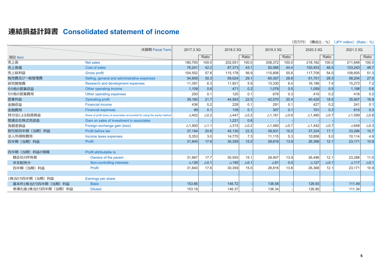### 連結損益計算書 Consolidated statement of income

|                      |                                                                            |                   |                 |                 |                 |                   |                 | (構成比:%)<br>(百万円)  |                 | (JPY million) (Ratio: %) |                 |
|----------------------|----------------------------------------------------------------------------|-------------------|-----------------|-----------------|-----------------|-------------------|-----------------|-------------------|-----------------|--------------------------|-----------------|
|                      | 決算期 Fiscal Term                                                            | 2017.3 3Q         |                 | 2018.3 3Q       |                 | 2019.3 3Q         |                 | 2020.3 3Q         |                 | 2021.3 3Q                |                 |
| 項目 Item              |                                                                            |                   | Ratio           |                 | Ratio           |                   | Ratio           |                   | Ratio           |                          | Ratio           |
| 売上高                  | <b>Net sales</b>                                                           | 180.793           | 100.0           | 202.551         | 100.0           | 208.372           | 100.0           | 218.162           | 100.0           | 211.848                  | 100.0           |
| 売上原価                 | Cost of sales                                                              | 76,241            | 42.2            | 87,373          | 43.1            | 92,566            | 44.4            | 100,453           | 46.0            | 103,243                  | 48.7            |
| 売上総利益                | <b>Gross profit</b>                                                        | 104,552           | 57.8            | 115.178         | 56.9            | 115,806           | 55.6            | 117,709           | 54.0            | 108,605                  | 51.3            |
| 販売費及び一般管理費           | Selling, general and administrative expenses                               | 54,859            | 30.3            | 59,024          | 29.1            | 60,307            | 28.9            | 61,751            | 28.3            | 58,204                   | 27.5            |
| 研究開発費                | Research and development expenses                                          | 11,391            | 6.3             | 11,921          | 5.9             | 13,330            | 6.4             | 16,186            | 7.4             | 15,273                   | 7.2             |
| その他の営業収益             | Other operating income                                                     | 1.109             | 0.6             | 471             | 0.2             | 1,078             | 0.5             | 1,059             | 0.5             | 1,198                    | 0.6             |
| その他の営業費用             | Other operating expenses                                                   | 250               | 0.1             | 120             | 0.1             | 676               | 0.3             | 410               | 0.2             | 418                      | 0.2             |
| 営業利益                 | <b>Operating profit</b>                                                    | 39,160            | 21.7            | 44,583          | 22.0            | 42,570            | 20.4            | 40,420            | 18.5            | 35,907                   | 16.9            |
| 金融収益                 | <b>Financial income</b>                                                    | 436               | 0.2             | 228             | 0.1             | 291               | 0.1             | 427               | 0.2             | 241                      | 0.1             |
| 金融費用                 | <b>Financial expenses</b>                                                  | 99                | 0.1             | 139             | 0.1             | 307               | 0.1             | 701               | 0.3             | 615                      | 0.3             |
| 持分法による投資損益           | Share of profit (loss) of associates accounted for using the equity method | $\triangle$ 402   | $\triangle$ 0.2 | $\triangle$ 447 | $\triangle$ 0.2 | $\triangle$ 1,161 | $\triangle$ 0.6 | $\triangle$ 1,480 | $\triangle$ 0.7 | $\triangle$ 1,599        | $\triangle$ 0.8 |
| 関連会社株式売却益            | Gain on sales of investment in associates                                  |                   |                 | 1,221           | 0.6             |                   |                 |                   |                 |                          |                 |
| 為替差損益                | Foreign exchange gain (loss)                                               | $\triangle$ 1.900 | $\triangle$ 1.1 | $\triangle$ 315 | $\triangle$ 0.2 | $\triangle$ 1,460 | $\triangle$ 0.7 | $\triangle$ 1,442 | $\triangle$ 0.7 | $\triangle$ 648          | $\triangle$ 0.3 |
| 税引前四半期(当期)利益         | Profit before tax                                                          | 37,194            | 20.6            | 45,130          | 22.3            | 39,931            | 19.2            | 37,224            | 17.1            | 33,286                   | 15.7            |
| 法人所得税費用              | Income taxes expenses                                                      | 5,353             | 3.0             | 14,770          | 7.3             | 11.115            | 5.3             | 10,856            | 5.0             | 10,114                   | 4.8             |
| 四半期(当期)利益            | Profit                                                                     | 31,840            | 17.6            | 30,359          | 15.0            | 28,816            | 13.8            | 26,368            | 12.1            | 23,171                   | 10.9            |
|                      |                                                                            |                   |                 |                 |                 |                   |                 |                   |                 |                          |                 |
| 四半期 (当期) 利益の帰属       | Profit attributable to                                                     |                   |                 |                 |                 |                   |                 |                   |                 |                          |                 |
| 親会社の所有者              | Owners of the parent                                                       | 31,967            | 17.7            | 30,555          | 15.1            | 28,907            | 13.9            | 26,496            | 12.1            | 23,288                   | 11.0            |
| 非支配持分                | Non-controlling interests                                                  | $\triangle$ 126   | $\triangle$ 0.1 | $\triangle$ 195 | $\triangle$ 0.1 | $\triangle$ 91    | 0.0             | $\triangle$ 127   | $\triangle$ 0.1 | $\triangle$ 117          | $\triangle$ 0.1 |
| 四半期 (当期) 利益          | Profit                                                                     | 31,840            | 17.6            | 30,359          | 15.0            | 28,816            | 13.8            | 26,368            | 12.1            | 23,171                   | 10.9            |
|                      |                                                                            |                   |                 |                 |                 |                   |                 |                   |                 |                          |                 |
| 1株当たり四半期 (当期) 利益     | Earnings per share                                                         |                   |                 |                 |                 |                   |                 |                   |                 |                          |                 |
| 基本的1株当たり四半期 (当期) 利益  | <b>Basic</b>                                                               | 153.66            |                 | 146.72          |                 | 138.58            |                 | 126.93            |                 | 111.49                   |                 |
| 希薄化後1株当たり四半期 (当期) 利益 | <b>Diluted</b>                                                             | 153.19            |                 | 146.37          |                 | 138.34            |                 | 126.80            |                 | 111.34                   |                 |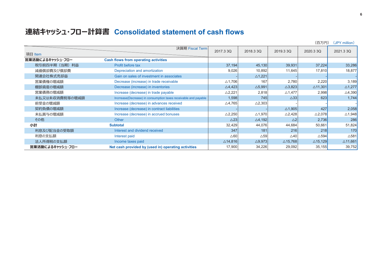## **連結キャッシュ・フロー計算書 Consolidated statement of cash flows**

|                  |                                                                 |                    |                   |                    | (百万円)              | (JPY million)      |
|------------------|-----------------------------------------------------------------|--------------------|-------------------|--------------------|--------------------|--------------------|
|                  | 決算期 Fiscal Term                                                 | 2017.3 3Q          | 2018.3 3Q         | 2019.3 3Q          | 2020.3 3Q          | 2021.3 3Q          |
| 項目 Item          |                                                                 |                    |                   |                    |                    |                    |
| 営業活動によるキャッシュ・フロー | <b>Cash flows from operating activities</b>                     |                    |                   |                    |                    |                    |
| 税引前四半期(当期)利益     | Profit before tax                                               | 37,194             | 45,130            | 39,931             | 37,224             | 33,286             |
| 減価償却費及び償却費       | Depreciation and amortization                                   | 9,026              | 10,892            | 11,645             | 17,810             | 18,877             |
| 関連会社株式売却益        | Gain on sales of investment in associates                       |                    | $\triangle$ 1,221 |                    |                    |                    |
| 営業債権の増減額         | Decrease (increase) in trade receivable                         | $\triangle$ 1,706  | 167               | 2,780              | 2,220              | 3,189              |
| 棚卸資産の増減額         | Decrease (increase) in inventories                              | $\triangle$ 4.423  | $\triangle$ 5,991 | $\triangle$ 3,823  | $\triangle$ 11,301 | $\triangle$ 1,277  |
| 営業債務の増減額         | Increase (decrease) in trade payable                            | $\triangle$ 2,221  | 2,818             | $\triangle$ 1,477  | 2,998              | $\triangle$ 4,390  |
| 未払又は未収消費税等の増減額   | Incrrease(Decrease) in consumption taxes receivable and payable | 1,598              | 745               | $\triangle$ 33     | 623                | 1,744              |
| 前受金の増減額          | Increase (decrease) in advances received                        | $\triangle$ 4,765  | $\triangle$ 2,303 |                    |                    |                    |
| 契約負債の増減額         | Increase (decrease) in contract liabilities                     |                    |                   | $\triangle$ 1,905  | 427                | 2,058              |
| 未払賞与の増減額         | Increase (decrease) in accrued bonuses                          | $\triangle$ 2,250  | $\triangle$ 1,970 | $\triangle$ 2,428  | $\triangle$ 2,078  | $\triangle$ 1,948  |
| その他              | <b>Other</b>                                                    | $\triangle$ 23     | $\triangle$ 4,192 | $\triangle$ 2      | 2,736              | 286                |
| 小計               | <b>Subtotal</b>                                                 | 32,429             | 44,076            | 44,684             | 50,661             | 51,824             |
| 利息及び配当金の受取額      | Interest and dividend received                                  | 347                | 181               | 216                | 218                | 170                |
| 利息の支払額           | Interest paid                                                   | $\triangle 60$     | $\triangle$ 59    | $\triangle$ 40     | $\triangle$ 594    | $\triangle$ 581    |
| 法人所得税の支払額        | Income taxes paid                                               | $\triangle$ 14,816 | $\triangle$ 9,973 | $\triangle$ 15,768 | $\triangle$ 15,129 | $\triangle$ 11,661 |
| 営業活動によるキャッシュ・フロー | Net cash provided by (used in) operating activities             | 17,900             | 34,226            | 29,092             | 35,155             | 39,752             |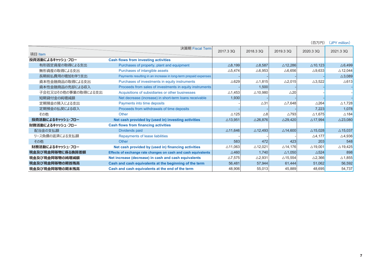|                     |                                                                 |                    |                    |                    |                    | $\sqrt{2}$ . The contract of $\sqrt{2}$ |
|---------------------|-----------------------------------------------------------------|--------------------|--------------------|--------------------|--------------------|-----------------------------------------|
| 項目 Item             | 決算期 Fiscal Term                                                 | 2017.330           | 2018.3 3Q          | 2019.330           | 2020.3 3Q          | 2021.3 3Q                               |
| 投資活動によるキャッシュ・フロー    | <b>Cash flows from investing activities</b>                     |                    |                    |                    |                    |                                         |
| 有形固定資産の取得による支出      | Purchases of property, plant and equipment                      | $\triangle$ 8,199  | $\triangle$ 8,587  | $\triangle$ 12,286 | $\triangle$ 10,123 | $\triangle$ 6,499                       |
| 無形資産の取得による支出        | Purchases of intangible assets                                  | $\triangle$ 5,474  | $\triangle$ 6,953  | $\triangle$ 6,656  | $\triangle$ 9.633  | $\triangle$ 12,044                      |
| 長期前払費用の増加を伴う支出      | Payments resulting in an increase in long-term prepaid expenses |                    |                    |                    |                    | $\triangle$ 3,089                       |
| 資本性金融商品の取得による支出     | Purchases of investments in equity instruments                  | $\triangle$ 629    | $\triangle$ 1,815  | $\triangle$ 2,015  | $\triangle$ 3,522  | $\triangle$ 613                         |
| 資本性金融商品の売却による収入     | Proceeds from sales of investments in equity instruments        |                    | 1,500              |                    |                    |                                         |
| 子会社又はその他の事業の取得による支出 | Acquisitions of subsidiaries or other businesses                | $\triangle$ 1,453  | $\triangle$ 10,980 | $\triangle 20$     |                    |                                         |
| 短期貸付金の純増減額          | Net decrease (increase) in short-term loans receivable          | 1,930              |                    |                    |                    |                                         |
| 定期預金の預入による支出        | Payments into time deposits                                     |                    | $\triangle$ 31     | $\triangle$ 7,648  | $\triangle$ 264    | $\triangle$ 1,728                       |
| 定期預金の払戻による収入        | Proceeds from withdrawals of time deposits                      |                    |                    |                    | 7,223              | 1,078                                   |
| その他                 | Other                                                           | $\triangle$ 125    | $\triangle 8$      | $\triangle$ 793    | $\triangle$ 1,675  | $\triangle$ 184                         |
| 投資活動によるキャッシュ・フロー    | Net cash provided by (used in) investing activities             | $\triangle$ 13,951 | $\triangle$ 26,876 | $\triangle$ 29,420 | $\triangle$ 17,994 | $\triangle$ 23,080                      |
| 財務活動によるキャッシュ・フロー    | <b>Cash flows from financing activities</b>                     |                    |                    |                    |                    |                                         |
| 配当金の支払額             | Dividends paid                                                  | $\triangle$ 11,646 | $\triangle$ 12,493 | $\triangle$ 14,600 | $\triangle$ 15,028 | $\triangle$ 15,037                      |
| リース負債の返済による支払額      | Repayments of lease liabilities                                 |                    |                    |                    | $\triangle$ 4,177  | $\triangle$ 4,936                       |
| その他                 | Other                                                           | 583                | 472                | 423                | 203                | 548                                     |
| 財務活動によるキャッシュ・フロー    | Net cash provided by (used in) financing activities             | $\triangle$ 11,063 | $\triangle$ 12,021 | $\triangle$ 14,176 | $\triangle$ 19,001 | $\triangle$ 19,425                      |
| 現金及び現金同等物に係る換算差額    | Effects of exchange rate changes on cash and cash equivalents   | $\triangle$ 460    | 1,740              | $\triangle$ 1,050  | $\triangle$ 524    | 898                                     |
| 現金及び現金同等物の純増減額      | Net increase (decrease) in cash and cash equivalents            | $\triangle$ 7,575  | $\triangle$ 2,931  | $\triangle$ 15,554 | $\triangle$ 2,366  | $\triangle$ 1,855                       |
| 現金及び現金同等物の期首残高      | Cash and cash equivalents at the beginning of the term          | 56,481             | 57,944             | 61,444             | 51,062             | 56,592                                  |
| 現金及び現金同等物の期末残高      | Cash and cash equivalents at the end of the term                | 48,906             | 55,013             | 45,889             | 48,695             | 54,737                                  |

(百万円) (JPY million)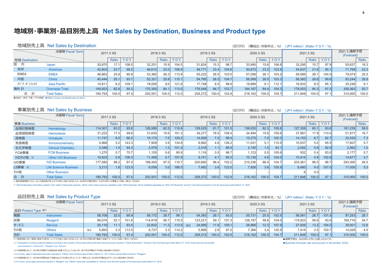### 地域別・事業別・品目別売上高 Net Sales by Destination, Business and Product type

#### 地域別売上高 Net Sales by Destination (構成比・対前年比:%)(JPY million)(Ratio・Y O Y : %) (百万円) 決算期 Fiscal Tern 2021 3 通期予想 2017.330 2018.330 2019.330 2020.330 2021.330 (Forecast)  $YOY$ YOY Ratio Ratio YOY Ratio YOY Ratio YOY Ratio Ratio 地域 Destination 国 内  $108.5$  $32.25$  $104.5$ 31824  $98<sup>7</sup>$ 33 995 33 295  $97.9$ Japan 30.870  $17'$  $15<sup>1</sup>$  $15.3$  $156$  $106.8$  $157$  $5063$  $16.3$ 米州 42.803 23.7 98.2 46.612  $23.0$ 108.9 48.771 23.4 104.6 50.672 23.2 103.9 45.637  $21.6$  $90.1$  $23.2$ Americas 71,798 **FMFA FMFA** 46.863 25.9 90.9 53,360 26.3 113.9 55.232 26.5 103.5 57.006 26.1 103.2 59.589  $28.1$ 104.5 79.074 25.5 中国  $25.1$ China 45.444 93.7 52.321  $25.8$  $115.$ 54.795 26.3 104.7 56,599 26.0 103.3 56.393 26.6 99.6 83.244 26.9 アシ゛ア・パ゜シフィック Asia-Pacific 14.811 8.2 109.1 18.005  $9.0$ 121.6 17.748 8.5 98.6 19.889  $9.1$  $112.1$ 16.933  $8.0$ 85.1 25.248 8.1 海外計 **Overseas Total** 149.923 82.9 95.3  $84.7$ 113.6 176,548 84.7 184.167 104.3 178.553 84.3 97.0 259,363 83.7 170.300 103.7 84.4 合 計 **Total Sales** 180.793 100.0 97.4 202.551 100.0 112.0 208.372 100.0 102.9 218,162 100.0 104.7 211.848 100.0 97.1 310.000 100.0

● FMFA: 欧州、中東、アフリカ地域 ● FMFA: Furone, the Middle Fast and Africa

#### 事業別売上高 Net Sales by Business

|             | 決算期 Fiscal Term              |         | 2017.3 3Q       |       |         | 2018.33Q |        |         | 2019.3 3Q |       |         | 2020.3 3Q |       |         | 2021.3 3Q |       | 2021.3 通期予想<br>(Forecast) |       |
|-------------|------------------------------|---------|-----------------|-------|---------|----------|--------|---------|-----------|-------|---------|-----------|-------|---------|-----------|-------|---------------------------|-------|
| 事業 Business |                              |         | Ratio           | YOY   |         | Ratio    | YOY    |         | Ratio     | YOY   |         | Ratio     | YOY   |         | Ratio     | YOY   |                           | Ratio |
| 血球計数検査      | Hematology                   | 114,301 | 63.2            | 95.6  | 126,589 | 62.5     | 110.8  | 128,525 | 61.7      | 101.5 | 136,020 | 62.3      | 105.8 | 127,359 | 60.1      | 93.6  | 181,239                   | 58.5  |
| 血液凝固検査      | <b>Hemostasis</b>            | 31,222  | 17.31           | 99.6  | 31,630  | 15.61    | 101.3  | 34,277  | 16.5      | 108.4 | 34,494  | 15.8      | 100.6 | 37,961  | 17.9      | 10.0  | 51,817                    | 16.7  |
| 尿検査         | <b>Urinalysis</b>            | 11,747  | 6.5             | 86.2  | 15.173  | 7.5      | 129.2  | 14,928  | 7.21      | 98.4  | 15,275  | 7.0       | 102.3 | 14,153  | 6.7       | 92.7  | 22,520                    | 7.3   |
| 免疫検査        | Immunochemistry              | 5.868   | 3.2             | 143.3 | 7.909   | 3.9      | 134.8  | 9.982   | 4.8       | 126.2 | 11.031  | 5.1       | 110.5 | 10,537  | 5.0       | 95.5  | 17.607                    | 5.7   |
| 生化学検査       | <b>Clinical Chemistry</b>    | 2,546   | $.4 \mathsf{I}$ | 94.3  | 2,576   | 1.3      | 101.2  | 2,316   |           | 89.9  | 2,155   | 1.0       | 93.1  | 2,002   | 0.9       | 92.9  | 2,962                     | 1.0   |
| FCM事業       | <b>FCM Business</b>          | 1.270   | 0.7             | 70.7  | 1,155   | 0.6      | 90.9   | 1,116   | 0.5       | 96.7  | 1.123   | 0.5       | 100.6 | 932     | 0.4       | 83.0  | 2.177                     | 0.7   |
| IVDその他 ※    | <b>Other IVD Business</b>    | 10,623  | 5.9             | 106.3 | 11.458  | 5.7      | 107.9  | 9,741   | 4.7       | 85.0  | 10,136  | 4.6       | 104.0 | 10,414  | 4.9       | 102.8 | 14.677                    | 4.7   |
| IVD事業       | <b>IVD Business</b>          | 177.580 | 98.21           | 97.0  | 196,493 | 97.0     | 110.7  | 200,890 | 96.4      | 102.2 | 210,236 | 96.4      | 104.7 | 203,361 | 96.0      | 96.7  | 293,000                   | 94.5  |
| LS事業 ※      | <b>Life Science Business</b> | 3,213   | ا8.             | 123.5 | 6,058   | 3.0      | 188.5  | 7,482   | 3.6       | 123.5 | 7,926   | 3.6       | 105.9 | 8,480   | 4.0       | 107.0 | 17,000                    | 5.5   |
| その他         | <b>Other Business</b>        |         |                 |       |         |          |        |         |           |       |         |           |       |         | 0.0       |       |                           |       |
| 合<br>計      | <b>Total Sales</b>           | 180,793 | 100.0           | 97.4  | 202,551 | 100.0    | 112.01 | 208,372 | 100.0     | 102.9 | 218,162 | 100.0     | 104.7 | 211,848 | 100.0     | 97.1  | 310,000                   | 100.0 |

-<br>※臨床検査情報システム、什入れ商品等の売上は「その他」に含めておりましたが、2020年3月期以降は、「IVDその他」「IS事業」に分割して表示しております。

% "Clinical laboratory information systems" and "sales of third-party products, others" which were previously classified under "Other Business" will be classified separately as "Other IVD Business" and the "Life Science Bu

#### 品目別売上高 Net Sales by Product Type

|                    |                    | . .                 |           |            |         |                    |       |                     |           |       |         |                   |       |         |                   |       |                           |       |
|--------------------|--------------------|---------------------|-----------|------------|---------|--------------------|-------|---------------------|-----------|-------|---------|-------------------|-------|---------|-------------------|-------|---------------------------|-------|
|                    | 決算期 Fiscal Term    |                     | 2017.3 3Q |            |         | 2018.3 3Q          |       |                     | 2019.3 3Q |       |         | 2020.33Q          |       |         | 2021.3 3Q         |       | 2021.3 通期予想<br>(Forecast) |       |
| 品目 Product Type ※1 |                    |                     | Ratio     | <b>YOY</b> |         | Ratio              | YOY   |                     | Ratio     | YOY   |         | Ratio             | YOY   |         | Ratio             | YOY   |                           | Ratio |
| 機器                 | <b>Instrument</b>  | 58,709              | 32.5      | 90.9       | 58,172  | 28.7               | 99.1  | 54,383              | 26.1      | 93.5  | 55,731  | 25.5              | 102.5 | 56,581  | 26.7              | 101.5 | 87,253                    | 28.7  |
| 試薬                 | Reagent            | 96,074              | 53.1      | 101.8      | 114,819 | 56.7               | 119.5 | 123,221             | 59.       | 107.3 | 128.197 | 58.8              | 104.0 | 119,923 | 56.6              | 93.5  | 169,716                   | 54.7  |
| サービス               | Service            | 20,116              | 11.1      | 93.5       | 22,832  | 11.3l              | 113.5 | 24,899<br>$\times3$ | 11.9      | 109.1 | 26,866  | 12.3 <sub>1</sub> | 107.9 | 27,929  | 13.2 <sub>1</sub> | 104.0 | 39,001                    | 12.6  |
| その他                | <b>Others</b>      | 5.893<br>$\times 2$ |           | 113.3      | 6.727   | 3.3                | 114.2 | 5,868               | 2.8       | 87.2  | 7,366   | 3.4               | 125.5 | 7.414   | 3.5               | 100.7 | 14,029                    | 4.5   |
| 合計                 | <b>Total Sales</b> | 180,793             | 100.01    | 97.4       | 202,551 | 100.0 <sub>1</sub> | 112.0 | 208,372             | 100.0     | 102.9 | 218,162 | 100.0             | 104.7 | 211,848 | 100.0             | 97.1  | 310,000                   | 100.0 |

※1 検査回数に応じて顧客に課金する取引について「その他」に含めておりましたが、2016年3月期以降「機器」「試薬」「サービス」に分割して表示しております。

※1 Transactions involving customer billings according to the number of times tests were performed were previously included in "Other Businesses." However, from the fiscal year ended March 31, 2016, these amounts are divide and presented in "Instrument." "Reagent" and "Service.

※2 中国地域において、2016年3月期までは消耗品を「試薬」に計上していましたが、2017年3月期より「その他」に組み替えております。

※2 In China, sales of disposals have been adjusted in "Others" from the fiscal year ended in March 31, 2017 which was formally included in "Reagent."

※3 中国地域において、2019年3月期2Qまで「試薬」および「その他」に計上していた一部売上を、2019年3月期3Qより「サービス」に組み替えております。

31, 2019. Thina, some sales previously included in "Reagent" and "Others" have been reclassified to "Service" from the third quarter of the fiscal year ended March 31, 2019.

#### (百万円) (構成比·対前年比:%) (JPY million) (Ratio·YOY:%)

(百万円) (構成比·対前年比:%) (JPY million) (Ratio·Y O Y : %)

●通期予想は、2020年11月に公表したものです。

· Business forecast was announced in November 2020.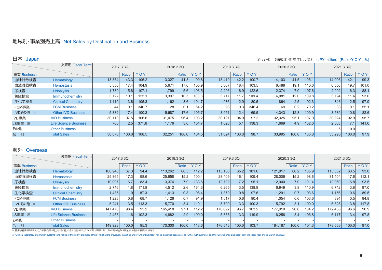#### 地域別·事業別売上高 Net Sales by Destination and Business

#### 日本 Japan

#### (百万円) (構成比・対前年比:%) (JPY million) (Ratio·Y O Y : %)

|             | 決算期 Fiscal Term              |        | 2017.3 3Q |       |        | 2018.3 3Q |       |        | 2019.3 3Q |       |        | 2020.3 3Q |                   |        | 2021.3 3Q |       |
|-------------|------------------------------|--------|-----------|-------|--------|-----------|-------|--------|-----------|-------|--------|-----------|-------------------|--------|-----------|-------|
| 事業 Business |                              |        | Ratio     | YOY   |        | Ratio     | YOY   |        | Ratio     | YOY   |        | Ratio     | YOY               |        | Ratio     | YOY   |
| 血球計数検査      | Hematology                   | 13,354 | 43.3      | 106.2 | 13,327 | 41.3      | 99.8  | 13,419 | 42.2      | 100.7 | 14,103 | 41.5      | 105.1             | 14,006 | 42.7      | 99.3  |
| 血液凝固検査      | <b>Hemostasis</b>            | 5,356  | 17.4      | 104.9 | 5,671  | 17.6      | 105.9 | 5,867  | 18.4      | 103.5 | 6,488  | 19.1      | 110.6             | 6,556  | 19.7      | 101.0 |
| 尿検査         | <b>Urinalysis</b>            | 1,739  | 5.6       | 107.1 | 1,799  | 5.6       | 103.5 | 2,206  | 6.9       | 122.6 | 2,374  | 7.0       | 107.6             | 2,092  | 6.3       | 88.1  |
| 免疫検査        | Immunochemistry              | 3,122  | 10.7      | 125.7 | 3,397  | 10.5      | 108.8 | 3,717  |           | 109.4 | 4,081  | 12.0      | 109.8             | 3,794  | 11.4      | 93.0  |
| 生化学検査       | <b>Clinical Chemistry</b>    | 1,110  | 3.6       | 105.3 | 1,162  | 3.6       | 104.7 | 936    | 2.9       | 80.5  | 864    | 2.5       | 92.3              | 846    | 2.5       | 97.9  |
| FCM事業       | <b>FCM Business</b>          | 44     | 0.1       | 340.7 | 28     | 0.1       | 64.2  | 98     | 0.3       | 346.4 | 69     | 0.2       | 70.2 <sub>1</sub> | 38     |           | 55.1  |
| IVDその他 ※    | <b>Other IVD Business</b>    | 5,382  | 17.4      | 100.3 | 5,687  | 17.6      | 105.7 | 3,951  | 12.4      | 69.5  | 4,343  | 12.8      | 109.9             | 3,589  | 10.8      | 82.6  |
| IVD事業       | <b>IVD Business</b>          | 30,110 | 97.5      | 106.6 | 31,075 | 96.4      | 103.2 | 30,197 | 94.9      | 97.2  | 32,325 | 95.1      | 107.0             | 30,924 | 92.9      | 95.7  |
| LS事業 ※      | <b>Life Science Business</b> | 760    | 2.5       | 371.6 | 1.176  | 3.6       | 154.7 | 1,626  | 5.1       | 138.3 | 1,669  | 4.9       | 102.6             | 2,363  |           | 141.6 |
| その他         | <b>Other Business</b>        |        |           |       |        |           |       |        |           |       |        |           |                   | ห      | 0.0       |       |
| 計<br>合      | <b>Total Sales</b>           | 30,870 | 100.0     | 108.5 | 32,251 | 100.0     | 104.5 | 31,824 | 100.0     | 98.7  | 33,995 | 100.0     | 106.8             | 33,295 | 100.0     | 97.9  |

#### 海外 Overseas

|             | 決算期 Fiscal Term              |         | 2017.3 3Q        |       |         | 2018.3 3Q |        |         | 2019.3 3Q |        |         | 2020.3 3Q |       |         | 2021.3 3Q |       |
|-------------|------------------------------|---------|------------------|-------|---------|-----------|--------|---------|-----------|--------|---------|-----------|-------|---------|-----------|-------|
| 事業 Business |                              |         | Ratio            | YOY   |         | Ratio     | YOY    |         | Ratio     | YOY    |         | Ratio     | YOY   |         | Ratio     | YOY   |
| 血球計数検査      | Hematology                   | 100,946 | 67.3             | 94.4  | 113,262 | 66.5      | 112.21 | 115,106 | 65.2      | 101.6l | 121,917 | 66.2      | 105.9 | 113,352 | 63.5      | 93.0  |
| 血液凝固検査      | <b>Hemostasis</b>            | 25,865  | 17.3             | 98.6  | 25,958  | 15.2      | 100.4  | 28.409  | 16.1      | 109.4  | 28,006  | 15.2      | 98.6  | 31,404  | 17.6      | 112.1 |
| 尿検査         | <b>Urinalysis</b>            | 10,007  | 6.7              | 83.4  | 13,374  | 7.9       | 133.61 | 12,722  | 7.2       | 95.1   | 12,900  | 7.0       | 101.4 | 12,060  | 6.8       | 93.5  |
| 免疫検査        | Immunochemistry              | 2,746   | 1.8              | 171.8 | 4,512   | 2.6       | 164.3  | 6,265   | 3.5       | 138.9  | 6,949   | 3.8       | 110.9 | 6,742   | 3.8       | 97.0  |
| 生化学検査       | <b>Clinical Chemistry</b>    | 1,435   | 1.0 <sub>l</sub> | 87.3  | 1.413   | 0.8       | 98.4   | 1,379   | 0.8       | 97.6   | 1,291   | 0.7       | 93.6  | 1,156   | 0.6       | 89.5  |
| FCM事業       | <b>FCM Business</b>          | 1,225   | 0.8              | 68.7  | 1.126   | 0.7       | 91.9   | 1,017   | 0.6       | 90.4   | 1,054   | 0.6       | 103.6 | 894     | 0.5       | 84.8  |
| IVDその他 ※    | <b>Other IVD Business</b>    | 5,241   | 3.5              | 113.3 | 5.770   | 3.4       | 110.1  | 5,790   | 3.3       | 100.3  | 5,792   | 3.1       | 100.0 | 6,825   | 3.8       | 117.8 |
| IVD事業       | <b>IVD Business</b>          | 147.470 | 98.4             | 95.2  | 165.418 | 97.1      | 112.2  | 170,692 | 96.7      | 103.2  | 177,910 | 96.6      | 104.2 | 172,436 | 96.6      | 96.9  |
| LS事業 ※      | <b>Life Science Business</b> | 2,453   | 1.6              | 102.3 | 4,882   | 2.9       | 199.0  | 5,855   | 3.3       | 119.9  | 6,256   | 3.4       | 106.8 | 6,117   | 3.4       | 97.8  |
| その他         | <b>Other Business</b>        |         |                  |       |         |           |        |         |           |        |         |           |       |         |           |       |
| 計<br>合      | <b>Total Sales</b>           | 149,923 | 100.0            | 95.3  | 170,300 | 100.0     | 113.6l | 176,548 | 100.0     | 103.7  | 184.167 | 100.0     | 104.3 | 178,553 | 100.0     | 97.0  |

※ 臨床検査情報システム、仕入れ商品等の売上は「その他」に含めておりましたが、2020年3月期以降は、「IVDその他」「LS事業」に分割して表示しております。

% "Clinical laboratory information systems" and "sales of third-party products, others" which were previously classified under "Other Business" will be classified separately as "Other IVD Business" and the "Life Science Bu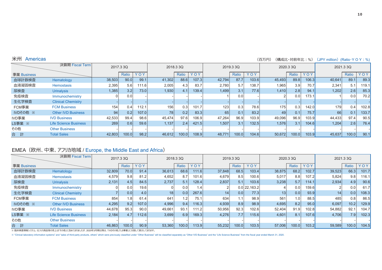| 米州 | Americas |
|----|----------|

(百万円) (構成比·対前年比:%) (JPY million) (Ratio·Y O Y : %)

|             | 決算期 Fiscal Term              |        | 2017.3 3Q |       |           | 2018.33Q         |       |        | 2019.3 3Q |            |        | 2020.3 3Q          |       |        | 2021.3 3Q |       |
|-------------|------------------------------|--------|-----------|-------|-----------|------------------|-------|--------|-----------|------------|--------|--------------------|-------|--------|-----------|-------|
| 事業 Business |                              |        | Ratio     | YOY   |           | Ratio            | YOY   |        | Ratio     | <b>YOY</b> |        | Ratio              | YOY   |        | Ratio     | YOY   |
| 血球計数検査      | Hematology                   | 38,503 | 90.0      | 99.1  | 41.302    | 88.6             | 107.3 | 42,794 | 87.7      | 103.6      | 45,493 | 89.8               | 106.3 | 40,641 | 89.1      | 89.3  |
| 血液凝固検査      | <b>Hemostasis</b>            | 2,395  | 5.6       | 111.6 | 2,005     | 4.3              | 83.7  | 2,780  | 5.7       | 138.7      | 1,965  | 3.9                | 70.7  | 2,341  | 5.1       | 119.1 |
| 尿検査         | <b>Urinalysis</b>            | 1,385  | 3.2       | 73.0  | 1,930     | 4.1              | 139.4 | 1,499  | 3.1       | 77.6       | 1,410  | 2.8                | 94.1  | 1,202  | 2.6       | 85.3  |
| 免疫検査        | Immunochemistry              |        | 0.0       |       |           |                  |       |        | 0.0       |            |        | 0.0                | 173.1 |        | 0.0       | 70.2  |
| 生化学検査       | <b>Clinical Chemistry</b>    |        |           |       |           |                  |       |        |           |            |        |                    |       |        |           |       |
| FCM事業       | <b>FCM Business</b>          | 154    | 0.4       | 112.1 | 156       | 0.3              | 101.7 | 123    | 0.3       | 78.6       | 175    | 0.3                | 142.0 | 179    | 0.4       | 102.8 |
| IVDその他 ※    | <b>Other IVD Business</b>    | 94     | 0.2       | 107.0 | <b>78</b> | 0.2              | 83.3  | 65     | 0.1       | 83.2       | 49     | 0.1                | 75.7  | 66     | 0.1       | 133.7 |
| IVD事業       | <b>IVD Business</b>          | 42,533 | 99.4      | 98.6  | 45.474    | 97.6             | 106.9 | 47.264 | 96.9      | 103.9      | 49,096 | 96.9               | 103.9 | 44.433 | 97.4      | 90.5  |
| LS事業 ※      | <b>Life Science Business</b> | 269    | 0.6       | 59.6  | 1,137     | 2.4 <sub>1</sub> | 421.5 | 1,507  | 3.1       | 132.5      | 1,576  | 3.1                | 104.6 | 1,204  | 2.6       | 76.4  |
| その他         | <b>Other Business</b>        |        |           |       |           |                  |       |        |           |            |        |                    |       |        |           |       |
| 計<br>合      | <b>Total Sales</b>           | 42,803 | 100.0     | 98.2  | 46,612    | 100.0            | 108.9 | 48,771 | 100.0     | 104.6      | 50,672 | 100.0 <sub>1</sub> | 103.9 | 45,637 | 100.0     | 90.1  |

#### EMEA (欧州、中東、アフリカ地域 / Europe, the Middle East and Africa)

|             | 決算期 Fiscal Term              |        | 2017.3 3Q |       |                 | 2018.33Q |       |                 | 2019.3 3Q |                 |        | 2020.33Q |       | 2021.3 3Q |       |       |
|-------------|------------------------------|--------|-----------|-------|-----------------|----------|-------|-----------------|-----------|-----------------|--------|----------|-------|-----------|-------|-------|
| 事業 Business |                              |        | Ratio     | YOY   |                 | Ratio    | YOY   |                 | Ratio     | YOY             |        | Ratio    | YOY   |           | Ratio | YOY   |
| 血球計数検査      | Hematology                   | 32,809 | 70.0      | 91.4  | 36,613          | 68.6     | 111.6 | 37,848          | 68.5      | 103.4           | 38,875 | 68.2     | 102.7 | 39,523    | 66.3  | 101.7 |
| 血液凝固検査      | <b>Hemostasis</b>            | 4,579  | 9.8       | 81.2  | 4,652           | 8.7      | 101.6 | 4,679           | 8.5       | 100.6           | 5,017  | 8.8      | 107.2 | 5,824     | 9.8   | 116.1 |
| 尿検査         | <b>Urinalysis</b>            | 2,131  | 4.5       | 84.5  | 2,737           | 5.1      | 128.4 | 2,837           | 5.1       | 103.6           | 3,238  | 5.7      | 114.1 | 2,934     | 4.9   | 90.6  |
| 免疫検査        | Immunochemistry              |        | 0.0       | 19.6  |                 | 0.0      | :4    |                 |           | $0.0$ 22, 163.2 |        | 0.0      | 159.6 |           | 0.0   | 61.7  |
| 生化学検査       | <b>Clinical Chemistry</b>    |        | 0.0       | 4.0   | 18 <sub>1</sub> | 0.0      | 267.6 | 14 <sup>1</sup> | 0.0       | 77.3            | 13     | 0.0      | 93.9  | 14        | 0.0   | 108.3 |
| FCM事業       | <b>FCM Business</b>          | 854    | 1.8       | 61.4  | 641             | .2       | 75.1  | 634             |           | 98.9            | 561    | 1.0      | 88.5  | 485       | 0.8   | 86.5  |
| IVDその他 ※    | <b>Other IVD Business</b>    | 4,295  | 9.2       | 107.0 | 4,996           | 9.4      | 116.3 | 4,939           | 8.9       | 98.9            | 4,695  | 8.2      | 95.0  | 6,097     | 10.2  | 129.9 |
| IVD事業       | <b>IVD Business</b>          | 44,678 | 95.3      | 90.0  | 49,661          | 93.7     | 111.2 | 50,956          | 92.3      | 102.6           | 52,404 | 91.9     | 102.8 | 54,882    | 92.1  | 104.7 |
| LS事業 ※      | <b>Life Science Business</b> | 2,184  | 4.7       | 112.6 | 3,699           | 6.9      | 169.3 | 4,276           | 7.7       | 115.6           | 4,601  | 8.1      | 107.6 | 4,706     | 7.9   | 102.3 |
| その他         | <b>Other Business</b>        |        |           |       |                 |          |       |                 |           |                 |        |          |       |           |       |       |
| 合<br>計      | <b>Total Sales</b>           | 46,863 | 100.0     | 90.9  | 53,360          | 100.0l   | 113.9 | 55,232          | 100.0     | 103.5           | 57,006 | 100.0    | 103.2 | 59,589    | 100.0 | 104.5 |

※臨床検査情報システム、仕入れ商品等の売上は「その他」に含めておりましたが、2020年3月期以降は、「IVDその他」「LS事業」に分割して表示しております。

% "Clinical laboratory information systems" and "sales of third-party products, others" which were previously classified under "Other Business" will be classified separately as "Other IVD Business" and the "Life Science Bu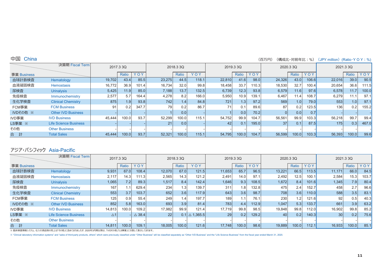#### (百万円) (構成比・対前年比:%) (JPY million) (Ratio·YOY:%)

|             | 決算期 Fiscal Term              |        | 2017.3 3Q |       |        | 2018.3 3Q |       |        | 2019.3 3Q    |       |        | 2020.33Q |       |        | 2021.3 3Q        |       |
|-------------|------------------------------|--------|-----------|-------|--------|-----------|-------|--------|--------------|-------|--------|----------|-------|--------|------------------|-------|
| 事業 Business |                              |        | Ratio     | YOY   |        | Ratio     | YOY   |        | <b>Ratio</b> | YOY   |        | Ratio    | YOY   |        | Ratio            | YOY   |
| 血球計数検査      | Hematology                   | 19,702 | 43.4      | 85.5  | 23,275 | 44.5      | 118.1 | 22,810 | 41.6         | 98.0  | 24,326 | 43.0     | 106.6 | 22,016 | 39.0             | 90.5  |
| 血液凝固検査      | <b>Hemostasis</b>            | 16,772 | 36.9      | 101.4 | 16,734 | 32.0      | 99.8  | 18,458 | 33.7         | 110.3 | 18,530 | 32.7     | 100.4 | 20,654 | 36.6             | 111.5 |
| 尿検査         | <b>Urinalysis</b>            | 5,425  | 11.9      | 85.0  | 7,188  | 13.7      | 132.5 | 6,739  | 12.3         | 93.8  | 6,579  | 11.6     | 97.6  | 6,578  | 11.7             | 100.0 |
| 免疫検査        | Immunochemistry              | 2,577  | 5.7       | 164.4 | 4,278  | 8.2       | 166.0 | 5,950  | 10.9         | 139.1 | 6,467  | 11.4     | 108.7 | 6,279  |                  | 97.1  |
| 生化学検査       | <b>Clinical Chemistry</b>    | 875    | 1.9       | 93.8  | 7421   | 1.4       | 84.8  | 7211   | 1.3          | 97.2  | 569    | 1.0      | 79.0  | 553    | 1.0 <sub>l</sub> | 97.1  |
| FCM事業       | <b>FCM Business</b>          | 91     | 0.21      | 347.7 | 79.    | 0.2       | 86.7  | 71     | 0.1          | 89.6  | 87     | 0.2      | 123.5 | 136    | 0.2              | 155.2 |
| IVDその他 ※    | <b>Other IVD Business</b>    |        |           |       |        | 0.0       |       |        | 0.0          | 70.2  |        | 0.0      | 0.7   |        |                  |       |
| IVD事業       | <b>IVD Business</b>          | 45,444 | 100.0     | 93.7  | 52,299 | 100.0     | 115.1 | 54,752 | 99.9         | 104.7 | 56,561 | 99.9     | 103.3 | 56,218 | 99.7             | 99.4  |
| LS事業 ※      | <b>Life Science Business</b> |        |           |       | 21     | 0.0       |       | 42     | 0.1          | 195.0 | 37     | 0.1      | 87.5  | 175    | 0.3              | 467.0 |
| その他         | <b>Other Business</b>        |        |           |       |        |           |       |        |              |       |        |          |       |        |                  |       |
| 合<br>計      | <b>Total Sales</b>           | 45,444 | 100.0     | 93.7  | 52,321 | 100.0     | 115.1 | 54,795 | 100.0        | 104.7 | 56,599 | 100.0    | 103.3 | 56,393 | 100.0            | 99.6  |

## アジア・パシフィック Asia-Pacific

|             | 決算期 Fiscal Term              |               | 2017.3 3Q |                  |        | 2018.3 3Q |                            |        | 2019.3 3Q    |       |        | 2020.33Q |        | 2021.3 3Q       |                  |       |
|-------------|------------------------------|---------------|-----------|------------------|--------|-----------|----------------------------|--------|--------------|-------|--------|----------|--------|-----------------|------------------|-------|
| 事業 Business |                              |               | Ratio     | YOY              |        | Ratio     | YOY                        |        | <b>Ratio</b> | YOY   |        | Ratio    | YOY    |                 | Ratio            | YOY   |
| 血球計数検査      | Hematology                   | 9,931         | 67.0      | 108.4            | 12,070 | 67.0      | 121.5                      | 11,653 | 65.7         | 96.5  | 13,221 | 66.5     | 113.5  | 11,171          | 66.0             | 84.5  |
| 血液凝固検査      | <b>Hemostasis</b>            | 2,117         | 14.3      | 111.3            | 2,565  | 14.3      | 121.2                      | 2,491  | 14.0         | 97.1  | 2,492  | 12.5     | 100.1  | 2,584           | 15.3             | 103.7 |
| 尿検査         | <b>Urinalysis</b>            | 1,065         | 7.2       | 89.3             | 1,517  | 8.4       | 142.4                      | 1,646  | 9.3          | 108.5 | 1,672  | 8.4      | 101.6  | 1,345           | 7.9              | 80.4  |
| 免疫検査        | Immunochemistry              | 167           | 1.1       | 629.4            | 234    | 1.3       | 139.7                      | 311    | 1.8          | 132.8 | 475    | 2.4      | 152.7  | 458             | 2.7              | 96.6  |
| 生化学検査       | <b>Clinical Chemistry</b>    | 553           | 3.7       | 103.7            | 652    | 3.6       | 117.9                      | 643    | 3.6          | 98.7  | 708    | 3.6      | 110.0l | 588             | 3.5              | 83.1  |
| FCM事業       | <b>FCM Business</b>          | 125           | 0.9       | 55.4             | 249    | 1.4       | 197.7                      | 189    | 1.1          | 76.1  | 230    | 1.2.     | 121.6  | 92              | 0.5              | 40.3  |
| IVDその他 ※    | <b>Other IVD Business</b>    | 852           | 5.8       | 163.0            | 693    | 3.9       | 81.4                       | 783    | 4.4          | 112.9 | 1,047  | 5.3      | 133.7  | 661             | 3.9              | 63.2  |
| IVD事業       | <b>IVD Business</b>          | 14,813        | 100.0     | 109.2            | 17,982 | 99.9      | 121.4                      | 17,719 | 99.8         | 98.5  | 19,848 | 99.8     | 112.0  | 16,902          | 99.8             | 85.2  |
| LS事業 ※      | <b>Life Science Business</b> | $\triangle$ 1 |           | $\triangle$ 38.4 | 22     |           | $0.1   \triangle 1,365.5 $ | 29     | 0.2          | 129.2 | 40     | 0.2      | 140.3  | 30 <sup>1</sup> | 0.2 <sub>1</sub> | 75.6  |
| その他         | <b>Other Business</b>        |               |           |                  |        |           |                            |        |              |       |        |          |        |                 |                  |       |
| 計<br>合      | <b>Total Sales</b>           | 14,811        | 100.0     | 109.1            | 18,005 | 100.0     | 121.6                      | 17,748 | 100.0        | 98.6  | 19,889 | 100.0    | 112.1  | 16,933          | 100.0            | 85.1  |

% "Clinical laboratory information systems" and "sales of third-party products, others" which were previously classified under "Other Business" will be classified separately as "Other IVD Business" and the "Life Science Bu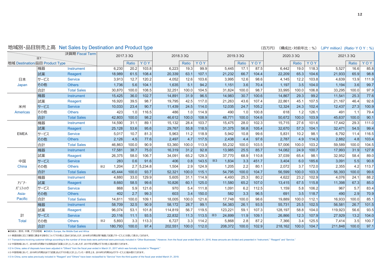地域別·品目別売上高 Net Sales by Destination and Product type

| (百万円)<br>(構成比・対前年比:%)(JPY million)(Ratio・YOY:% |  |  |  |
|------------------------------------------------|--|--|--|
|------------------------------------------------|--|--|--|

|                                                      | $\times 1$ | 決算期 Fiscal Term    |            |         | 2017.3 3Q    |        |         | 2018.33Q |       |            | 2019.3 3Q |       |       |         | 2020.3 3Q |       |         | 2021.3 3Q |       |
|------------------------------------------------------|------------|--------------------|------------|---------|--------------|--------|---------|----------|-------|------------|-----------|-------|-------|---------|-----------|-------|---------|-----------|-------|
| 地域 Destination/品目 Product Type                       |            |                    |            |         | <b>Ratio</b> | YOY    |         | Ratio    | YOY   |            |           | Ratio | YOY   |         | Ratio     | YOY   |         | Ratio     | YOY   |
|                                                      | 機器         | Instrument         |            | 6,230   | 20.2         | 103.8  | 6,223   | 19.3     | 99.9  |            | 5,445     | 17.1  | 87.5  | 6,442   | 19.0      | 118.3 | 5,527   | 16.6      | 85.8  |
|                                                      | 試薬         | Reagent            |            | 18,989  | 61.5         | 108.4  | 20,339  | 63.1     | 107.1 |            | 21,232    | 66.7  | 104.4 | 22,209  | 65.3      | 104.6 | 21,933  | 65.9      | 98.8  |
| 日本                                                   | サービス       | <b>Service</b>     |            | 3,913   | 12.7         | 120.2  | 4,052   | 12.6     | 103.6 |            | 3,995     | 12.6  | 98.6  | 4,145   | 12.2      | 103.8 | 4,639   | 13.9      | 111.9 |
| Japan                                                | その他        | <b>Others</b>      |            | 1,736   | 5.6          | 104.1  | 1,635   | 5.1      | 94.2  |            | 1,151     | 3.6   | 70.4  | 1,197   | 3.5       | 104.0 | 1,194   | 3.6       | 99.7  |
|                                                      | 合計         | <b>Total Sales</b> |            | 30,870  | 100.0        | 108.5  | 32,251  | 100.0    | 104.5 |            | 31,824    | 100.0 | 98.7  | 33,995  | 100.0     | 106.8 | 33,295  | 100.0     | 97.9  |
|                                                      | 機器         | <b>Instrument</b>  |            | 15,425  | 36.0         | 102.7  | 14,891  | 31.9     | 96.5  |            | 14,983    | 30.7  | 100.6 | 14,867  | 29.3      | 99.2  | 11,541  | 25.3      | 77.6  |
|                                                      | 試薬         | Reagent            |            | 16,920  | 39.5         | 98.7   | 19,795  | 42.5     | 117.0 |            | 21,263    | 43.6  | 107.4 | 22,861  | 45.1      | 107.5 | 21,167  | 46.4      | 92.6  |
| 米州                                                   | サービス       | <b>Service</b>     |            | 10,033  | 23.4         | 90.7   | 11,439  | 24.5     | 114.0 |            | 12,035    | 24.7  | 105.2 | 12,324  | 24.3      | 102.4 | 12,437  | 27.3      | 100.9 |
| <b>Americas</b>                                      | その他        | <b>Others</b>      |            | 423     | 1.0          | 116.5  | 486     | 1.0      | 114.9 |            | 490       | 1.0   | 100.8 | 618     | 1.2       | 126.1 | 491     | 1.1       | 79.4  |
|                                                      | 合計         | <b>Total Sales</b> |            | 42,803  | 100.0        | 98.2   | 46.612  | 100.0    | 108.9 |            | 48,771    | 100.0 | 104.6 | 50,672  | 100.0     | 103.9 | 45,637  | 100.0     | 90.1  |
|                                                      | 機器         | Instrument         |            | 14,590  | 31.1         | 89.1   | 15,132  | 28.4     | 103.7 |            | 15,475    | 28.0  | 102.3 | 15,715  | 27.6      | 101.6 | 17,442  | 29.3      | 111.0 |
|                                                      | 試薬         | Reagent            |            | 25,128  | 53.6         | 95.6   | 29,767  | 55.8     | 118.5 |            | 31,375    | 56.8  | 105.4 | 32,670  | 57.3      | 104.1 | 32,471  | 54.5      | 99.4  |
| <b>EMEA</b>                                          | サービス       | <b>Service</b>     |            | 5,017   | 10.7         | 81.3   | 5,963   | 11.2     | 118.9 |            | 5,942     | 10.8  | 99.6  | 5,831   | 10.2      | 98.1  | 6,792   | 11.4      | 116.5 |
|                                                      | その他        | <b>Others</b>      |            | 2,126   | 4.5          | 77.6   | 2,497   | 4.7      | 117.5 |            | 2,438     | 4.4   | 97.6  | 2,787   | 4.9       | 114.3 | 2,882   | 4.8       | 103.4 |
|                                                      | 合計         | <b>Total Sales</b> |            | 46.863  | 100.0        | 90.9   | 53.360  | 100.0    | 113.9 |            | 55,232    | 100.0 | 103.5 | 57,006  | 100.0     | 103.2 | 59.589  | 100.0     | 104.5 |
|                                                      | 機器         | Instrument         |            | 17,581  | 38.7         | 75.0   | 16,319  | 31.2     | 92.8  |            | 13,985    | 25.5  | 85.7  | 14,082  | 24.9      | 100.7 | 17,993  | 31.9      | 127.8 |
|                                                      | 試薬         | Reagent            |            | 26,375  | 58.0         | 106.7  | 34,091  | 65.2     | 129.3 |            | 37,770    | 68.9  | 110.8 | 37,039  | 65.4      | 98.1  | 32,952  | 58.4      | 89.0  |
| 中国                                                   | サービス       | <b>Service</b>     |            | 283     | 0.6          | 91.6   | 406     | 0.8      | 143.5 | $\times$ 3 | 1,834     | 3.3   | 451.7 | 3,404   | 6.0       | 185.6 | 3,091   | 5.5       | 90.8  |
| China                                                | その他        | <b>Others</b>      | $\times 2$ | 1,204   | 2.7          | .234.8 | 1,504   | 2.9      | 124.9 |            | 1,205     | 2.2   | 80.1  | 2,072   | 3.7       | 172.0 | 2,355   | 4.2       | 113.7 |
|                                                      | 合計         | <b>Total Sales</b> |            | 45,444  | 100.0        | 93.7   | 52,321  | 100.0    | 115.1 |            | 54,795    | 100.0 | 104.7 | 56,599  | 100.0     | 103.3 | 56,393  | 100.0     | 99.6  |
|                                                      | 機器         | Instrument         |            | 4,880   | 33.0         | 129.9  | 5,605   | 31.1     | 114.9 |            | 4,493     | 25.3  | 80.2  | 4,622   | 23.2      | 102.9 | 4,076   | 24.1      | 88.2  |
| $\overline{y}$ $\overline{y}$ $\overline{y}$ $\cdot$ | 試薬         | Reagent            |            | 8,660   | 58.5         | 99.6   | 10,826  | 60.1     | 125.0 |            | 11,580    | 65.2  | 107.0 | 13,415  | 67.5      | 115.8 | 11,398  | 67.3      | 85.0  |
| パ <sup></sup> シフィック                                  | サービス       | <b>Service</b>     |            | 868     | 5.9          | 121.6  | 970     | 5.4      | 111.8 |            | 1,091     | 6.2   | 112.5 | 1,159   | 5.8       | 106.2 | 967     | 5.7       | 83.4  |
| Asia-                                                | その他        | <b>Others</b>      |            | 402     | 2.7          | 99.3   | 603     | 3.4      | 150.0 |            | 582       | 3.3   | 96.5  | 691     | 3.5       | 118.7 | 490     | 2.9       | 70.9  |
| <b>Pacific</b>                                       | 合計         | <b>Total Sales</b> |            | 14,811  | 100.0        | 109.1  | 18,005  | 100.0    | 121.6 |            | 17,748    | 100.0 | 98.6  | 19,889  | 100.0     | 112.1 | 16,933  | 100.0     | 85.1  |
|                                                      | 機器         | Instrument         |            | 58,709  | 32.5         | 90.9   | 58,172  | 28.7     | 99.1  |            | 54,383    | 26.1  | 93.5  | 55,731  | 25.5      | 102.5 | 56,581  | 26.7      | 101.5 |
|                                                      | 試薬         | Reagent            |            | 96,074  | 53.1         | 101.8  | 114,819 | 56.7     | 119.5 |            | 123,221   | 59.1  | 107.3 | 128,197 | 58.8      | 104.0 | 119,923 | 56.6      | 93.5  |
| 計                                                    | サービス       | <b>Service</b>     |            | 20,116  | 11.1         | 93.5   | 22,832  | 11.3     | 113.5 | $\times3$  | 24,899    | 11.9  | 109.1 | 26,866  | 12.3      | 107.9 | 27,929  | 13.2      | 104.0 |
| <b>Total</b>                                         | その他        | <b>Others</b>      | $\times 2$ | 5,893   | 3.3          | 113.3  | 6.727   | 3.3      | 114.2 |            | 5,868     | 2.8   | 87.2  | 7,366   | 3.4       | 125.5 | 7,414   | 3.5       | 100.7 |
|                                                      | 合計         | <b>Total Sales</b> |            | 180,793 | 100.0        | 97.4   | 202,551 | 100.0    | 112.0 |            | 208,372   | 100.0 | 102.9 | 218,162 | 100.0     | 104.7 | 211,848 | 100.0     | 97.1  |

● EMEA: 欧州、中東、アフリカ地域 ● EMEA: Europe, the Middle East and Africa

※1 検査回数に応じて顧客に課金する取引について「その他」に含めておりましたが、2016年3月期以降「機器」「試薬」「サービス」に分割して表示しております。

※1 Transactions involving customer billings according to the number of times tests were performed were previously included in "Other Businesses." However, from the fiscal year ended March 31, 2016, these amounts are divide

※2 中国地域において、2016年3月期までは消耗品を「試薬」に計上していましたが、2017年3月期より「その他」に組み替えております。

پ2 In China, sales of disposals have been adjusted in "Others" from the fiscal year ended in March 31, 2017 which was formally included in "Reagent."

※3 中国地域において、2019年3月期2Qまで「試薬」および「その他」に計上していた一部売上を、2019年3月期3Qより「サービス」に組み替えております。

پ3 In China, some sales previously included in "Reagent" and "Others" have been reclassified to "Service" from the third quarter of the fiscal year ended March 31, 2019.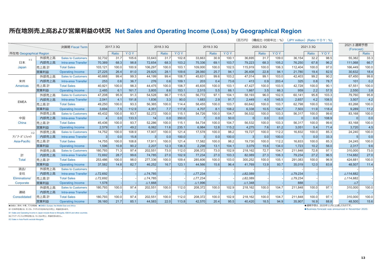### 所在地別売上高および営業利益の状況 Net Sales and Operating Income (Loss) by Geographical Region

|                         |       |                            |                    |           |       |                   |           | (百万円) |                    | (構成比·対前年比 : %) | $(JPY$ million) $(Ratio \cdot Y \cap Y : %)$ |                    |           |       |                    |           |       |                           |       |
|-------------------------|-------|----------------------------|--------------------|-----------|-------|-------------------|-----------|-------|--------------------|----------------|----------------------------------------------|--------------------|-----------|-------|--------------------|-----------|-------|---------------------------|-------|
|                         |       | 決算期 Fiscal Tern            |                    | 2017.3 3Q |       |                   | 2018.3 3Q |       |                    | 2019.3 3Q      |                                              |                    | 2020.3 3Q |       |                    | 2021.3 3Q |       | 2021.3 通期予想<br>(Forecast) |       |
| 所在地 Geographical Region |       |                            |                    | Ratio     | YOY   |                   | Ratio     | YOY   |                    | Ratio          | YOY                                          |                    | Ratio     | YOY   |                    | Ratio     | YOY   |                           | Ratio |
| $\times 1$              | 外部売上高 | <b>Sales to Customers</b>  | 32.732             | 31.7      | 105.6 | 33.643            | 31.7      | 102.8 | 33.663             | 30.9           | 100.1                                        | 36.695             | 31.7      | 109.0 | 36.154             | 32.2      | 98.5  | 55.382                    | 33.3  |
| 日本                      | 内部売上高 | Intra-area Transfer        | 70,389             | 68.3      | 98.8  | 72,654            | 68.3      | 103.2 | 75,336             | 69.1           | 103.7                                        | 79,223             | 68.3      | 105.2 | 76,250             | 67.8      | 96.2  | 111.068                   | 66.7  |
| Japan                   | 売上高 計 | <b>Total Sales</b>         | 103,121            | 100.0     | 100.9 | 106,297           | 100.0     | 103.1 | 109,000            | 100.0          | 102.5                                        | 115,919            | 100.0     | 106.3 | 112,404            | 100.0     | 97.0  | 166.449                   | 100.0 |
|                         | 営業利益  | <b>Operating Income</b>    | 27.225             | 26.4      | 81.0  | 29.825            | 28.1      | 109.6 | 28,060             | 25.7           | 94.1                                         | 26,408             | 22.8      | 94.1  | 21,780             | 19.4      | 82.5  | 30.632                    | 18.4  |
|                         | 外部売上高 | <b>Sales to Customers</b>  | 40,668             | 99.4      | 99.3  | 44,199            | 99.4      | 108.7 | 45,631             | 99.6           | 103.2                                        | 47,014             | 99.1      | 103.0 | 42,403             | 99.2      | 90.2  | 67,450                    | 99.8  |
| 米州                      | 内部売上高 | Intra-area Transfer        | 253                | 0.6       | 36.7  | 276               | 0.6       | 109.1 | 203                | 0.4            | 73.6                                         | 413                | 0.9       | 203.4 | 325                | 0.8       | 78.7  | 101                       | 0.2   |
| <b>Americas</b>         | 売上高計  | <b>Total Sales</b>         | 40,921             | 100.0     | 98.3  | 44,475            | 100.0     | 108.7 | 45,835             | 100.0          | 103.1                                        | 47,427             | 100.0     | 103.5 | 42,728             | 100.0     | 90.1  | 67,551                    | 100.0 |
|                         | 営業利益  | <b>Operating Income</b>    | 2,485              | 6.1       | 161.7 | 3,805             | 8.6       | 153.1 | 2,515              | 5.5            | 66.1                                         | 1,667              | 3.5       | 66.3  | 959                | 2.2       | 57.5  | 2,550                     | 3.8   |
|                         | 外部売上高 | <b>Sales to Customers</b>  | 47,208             | 95.9      | 91.3  | 54,528            | 96.7      | 115.5 | 56,772             | 97.1           | 104.1                                        | 58,193             | 96.0      | 102.5 | 60,141             | 95.8      | 103.3 | 79,760                    | 95.8  |
| <b>EMEA</b>             | 内部売上高 | <b>Intra-area Transfer</b> | 2,041              | 4.1       | 191.8 | 1,836             | 3.3       | 90.0  | 1,683              | 2.9            | 91.7                                         | 2,449              | 4.0       | 145.5 | 2,657              | 4.2       | 108.5 | 3,507                     | 4.2   |
|                         | 売上高 計 | <b>Total Sales</b>         | 49,250             | 100.0     | 93.3  | 56,365            | 100.0     | 114.4 | 58,455             | 100.0          | 103.7                                        | 60,642             | 100.0     | 103.7 | 62,798             | 100.0     | 103.6 | 83,268                    | 100.0 |
|                         | 営業利益  | <b>Operating Income</b>    | 3,694              | 7.5       | 112.9 | 4,351             | 7.7       | 117.8 | 4,707              | 8.1            | 108.2                                        | 6,338              | 10.5      | 134.7 | 7,503              | 11.9      | 118.4 | 9,289                     | 11.2  |
|                         | 外部売上高 | <b>Sales to Customers</b>  | 45,432             | 100.0     | 93.7  | 52,272            | 100.0     | 115.1 | 54,726             | 100.0          | 104.7                                        | 56,532             | 100.0     | 103.3 | 56,317             | 100.0     | 99.6  | 83,168                    | 100.0 |
| 中国                      | 内部売上高 | Intra-area Transfer        |                    | 0.0       | 133.3 | 14                | 0.0       | 350.0 |                    | 0.0            | 50.0                                         |                    | 0.0       | 0.0   |                    | 0.0       | 108.9 | $\Omega$                  | 0.0   |
| China                   | 売上高計  | <b>Total Sales</b>         | 45,436             | 100.0     | 93.7  | 52.286            | 100.0     | 115.1 | 54.734             | 100.0          | 104.7                                        | 56.532             | 100.0     | 103.3 | 56.317             | 100.0     | 99.6  | 83.168                    | 100.0 |
|                         | 営業利益  | <b>Operating Income</b>    | 2.579              | 5.7       | 49.2  | 6.062             | 11.6      | 235.1 | 6.984              | 12.8           | 115.2                                        | 4.275              | 7.6       | 61.2  | 3.051              | 5.4       | 71.4  | 3.720                     | 4.5   |
| ×2                      | 外部売上高 | <b>Sales to Customers</b>  | 14,752             | 100.0     | 108.9 | 17,907            | 100.0     | 121.4 | 17,578             | 100.0          | 98.2                                         | 19.727             | 100.0     | 112.2 | 16,832             | 100.0     | 85.3  | 24.240                    | 100.0 |
| アシ゛ア・パ゜シフィック            | 内部売上高 | Intra-area Transfer        | 3                  | 0.0       | 15.8  | 3                 | 0.0       | 100.0 | 3                  | 0.0            | 100.0                                        |                    | 0.0       | 100.0 |                    | 0.0       | 33.3  | 5                         | 0.0   |
| Asia-Pacific            | 売上高計  | <b>Total Sales</b>         | 14,755             | 100.0     | 108.8 | 17,911            | 100.0     | 121.4 | 17,582             | 100.0          | 98.2                                         | 19,730             | 100.0     | 112.2 | 16,833             | 100.0     | 85.3  | 24,245                    | 100.0 |
|                         | 営業利益  | <b>Operating Income</b>    | 1,596              | 10.8      | 90.2  | 2,207             | 12.3      | 138.3 | 2,298              | 13.1           | 104.1                                        | 3,079              | 15.6      | 134.0 | 1,723              | 10.2      | 56.0  | 2,317                     | 9.6   |
|                         | 外部売上高 | <b>Sales to Customers</b>  | 180,793            | 71.3      | 97.4  | 202,551           | 73.0      | 112.0 | 208,372            | 73.0           | 102.9                                        | 218,162            | 72.7      | 104.7 | 211,848            | 72.8      | 97.1  | 310,000                   | 73.0  |
| 計                       | 内部売上高 | <b>Intra-area Transfer</b> | 72,692             | 28.7      | 99.6  | 74,785            | 27.0      | 102.9 | 77,234             | 27.0           | 103.3                                        | 82,089             | 27.3      | 106.3 | 79,234             | 27.2      | 96.5  | 114,682                   | 27.0  |
| <b>Total</b>            | 売上高計  | <b>Total Sales</b>         | 253,486            | 100.0     | 98.0  | 277,336           | 100.0     | 109.4 | 285,606            | 100.0          | 103.0                                        | 300,252            | 100.0     | 105.1 | 291,083            | 100.0     | 96.9  | 424,681                   | 100.0 |
|                         | 営業利益  | <b>Operating Income</b>    | 37,582             | 14.8      | 82.7  | 46,252            | 16.7      | 123.1 | 44,566             | 15.6           | 96.4                                         | 41,769             | 13.9      | 93.7  | 35,019             | 12.0      | 83.8  | 48,507                    | 11.4  |
| 消去/                     | 外部売上高 | <b>Sales to Customers</b>  |                    |           |       |                   |           |       |                    |                |                                              |                    |           |       |                    |           |       |                           |       |
| 全社                      | 内部売上高 | Intra-area Transfer        | △72,692            |           |       | △74,785           |           |       | $\triangle$ 77,234 |                |                                              | $\triangle$ 82,089 |           |       | △79,234            |           |       | $\triangle$ 114.682       |       |
| Eliminations/           | 売上高計  | <b>Total Sales</b>         | $\triangle$ 72,692 |           |       | △74,785           |           |       | $\triangle$ 77,234 |                |                                              | $\triangle$ 82,089 |           |       | $\triangle$ 79,234 |           |       | △114,682                  |       |
| Corporate               | 営業利益  | <b>Operating Income</b>    | 1,578              |           |       | $\triangle$ 1,668 |           |       | △1,996             |                |                                              | $\triangle$ 1,348  |           |       | 888                |           |       | $\triangle 7$             |       |
|                         | 外部売上高 | <b>Sales to Customers</b>  | 180,793            | 100.0     | 97.4  | 202,551           | 100.0     | 112.0 | 208,372            | 100.0          | 102.9                                        | 218,162            | 100.0     | 104.7 | 211,848            | 100.0     | 97.1  | 310,000                   | 100.0 |
| 連結                      | 内部売上高 | Intra-area Transfer        |                    |           |       |                   |           |       |                    |                |                                              |                    |           |       |                    |           |       |                           |       |
| Consolidated            | 売上高計  | <b>Total Sales</b>         | 180,793            | 100.0     | 97.4  | 202,551           | 100.0     | 112.0 | 208,372            | 100.0          | 102.9                                        | 218,162            | 100.0     | 104.7 | 211,848            | 100.0     | 97.1  | 310.000                   | 100.0 |
|                         | 営業利益  | <b>Operating Income</b>    | 39,160             | 21.7      | 85.1  | 44,583            | 22.0      | 113.8 | 42,570             | 20.4           | 95.5                                         | 40,420             | 18.5      | 94.9  | 35,907             | 16.9      | 88.8  | 48.500                    | 15.6  |

● EMEA: 欧州、中東、アフリカ地域 ● EMEA: Europe, the Middle East and Africa ※1 日本所在地には、モンゴル、アイデックス社向けなどの売上、利益を含みます。

%1 Sales and Operating Income in Japan include those to Mongolia, IDEXX and other countries.

※2 アジア・パシフィック所在地には、モンゴルの売上、利益を含みません。

%2 Sales in Asia Pacific exclude Mongolia.

●通期予想は、2020年11月に公表したものです。

· Business forecast was announced in November 2020.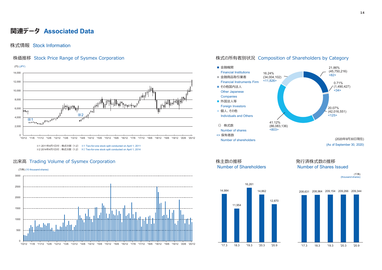### **関連データ Associated Data**

#### 株式情報 Stock Information



#### 出来高 Trading Volume of Sysmex Corporation カランプション おもちゃく おものに おもの 株主数の推移 おものをおく 発行済株式数の推移



#### 株価推移 Stock Price Range of Sysmex Corporation and the state of the state of the state of Shareholders by Category





(千株) (thousand shares)



208,631 208,964 209,154 209,266 209,344 '17.3 18.3 '19.3 '20.3 '20.9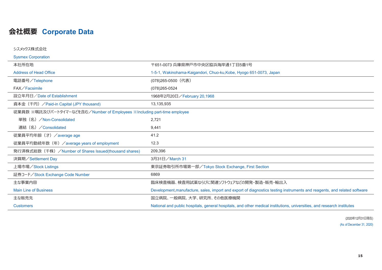### **ভਏ岜Corporate Data**

| シスメックス株式会社                                                               |                                                                                                                          |
|--------------------------------------------------------------------------|--------------------------------------------------------------------------------------------------------------------------|
| <b>Sysmex Corporation</b>                                                |                                                                                                                          |
| 本社所在地                                                                    | 〒651-0073 兵庫県神戸市中央区脇浜海岸通1丁目5番1号                                                                                          |
| <b>Address of Head Office</b>                                            | 1-5-1, Wakinohama-Kaigandori, Chuo-ku, Kobe, Hyogo 651-0073, Japan                                                       |
| 電話番号/Telephone                                                           | (078)265-0500 (代表)                                                                                                       |
| FAX/Facsimile                                                            | (078)265-0524                                                                                                            |
| 設立年月日/Date of Establishment                                              | 1968年2月20日/February 20,1968                                                                                              |
| 資本金 (千円) / Paid-in Capital (JPY thousand)                                | 13,135,935                                                                                                               |
| 従業員数 ※嘱託及びパートタイマーなどを含む/Number of Employees ※Including part-time employee |                                                                                                                          |
| 単独 (名) / Non-Consolidated                                                | 2,721                                                                                                                    |
| 連結 (名) / Consolidated                                                    | 9,441                                                                                                                    |
| 従業員平均年齢(才)/average age                                                   | 41.2                                                                                                                     |
| 従業員平均勤続年数 (年) / average years of employment                              | 12.3                                                                                                                     |
| 発行済株式総数(千株)/Number of Shares Issued(thousand shares)                     | 209,396                                                                                                                  |
| 決算期/Settlement Day                                                       | 3月31日/March 31                                                                                                           |
| 上場市場/Stock Listings                                                      | 東京証券取引所市場第一部/Tokyo Stock Exchange, First Section                                                                         |
| 証券コード/Stock Exchange Code Number                                         | 6869                                                                                                                     |
| 主な事業内容                                                                   | 臨床検査機器、検査用試薬ならびに関連ソフトウェアなどの開発・製造・販売・輸出入                                                                                  |
| <b>Main Line of Business</b>                                             | Development, manufacture, sales, import and export of diagnostics testing instruments and reagents, and related software |
| 主な販売先                                                                    | 国立病院、一般病院、大学、研究所、その他医療機関                                                                                                 |
| <b>Customers</b>                                                         | National and public hospitals, general hospitals, and other medical institutions, universities, and research institutes  |

(2020年12月31日現在) (As of December 31, 2020)